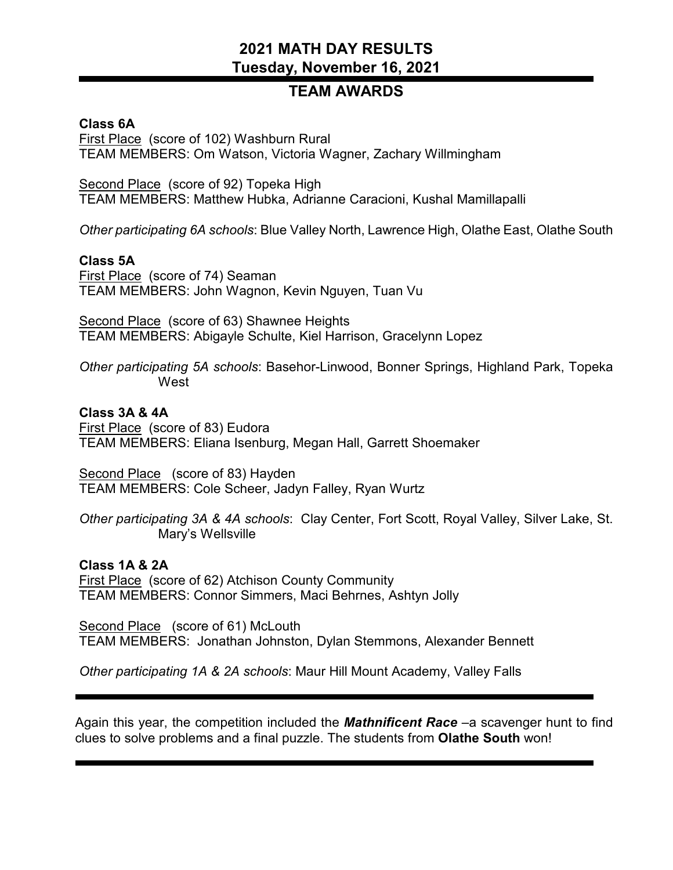# **2021 MATH DAY RESULTS Tuesday, November 16, 2021**

# **TEAM AWARDS**

### **Class 6A**

**First Place (score of 102) Washburn Rural** TEAM MEMBERS: Om Watson, Victoria Wagner, Zachary Willmingham

Second Place (score of 92) Topeka High TEAM MEMBERS: Matthew Hubka, Adrianne Caracioni, Kushal Mamillapalli

*Other participating 6A schools*: Blue Valley North, Lawrence High, Olathe East, Olathe South

#### **Class 5A**

First Place (score of 74) Seaman TEAM MEMBERS: John Wagnon, Kevin Nguyen, Tuan Vu

Second Place (score of 63) Shawnee Heights TEAM MEMBERS: Abigayle Schulte, Kiel Harrison, Gracelynn Lopez

*Other participating 5A schools*: Basehor-Linwood, Bonner Springs, Highland Park, Topeka West

#### **Class 3A & 4A**

First Place (score of 83) Eudora TEAM MEMBERS: Eliana Isenburg, Megan Hall, Garrett Shoemaker

## Second Place (score of 83) Hayden

TEAM MEMBERS: Cole Scheer, Jadyn Falley, Ryan Wurtz

*Other participating 3A & 4A schools*: Clay Center, Fort Scott, Royal Valley, Silver Lake, St. Mary's Wellsville

#### **Class 1A & 2A**

First Place (score of 62) Atchison County Community TEAM MEMBERS: Connor Simmers, Maci Behrnes, Ashtyn Jolly

Second Place (score of 61) McLouth TEAM MEMBERS: Jonathan Johnston, Dylan Stemmons, Alexander Bennett

*Other participating 1A & 2A schools*: Maur Hill Mount Academy, Valley Falls

Again this year, the competition included the *Mathnificent Race* –a scavenger hunt to find clues to solve problems and a final puzzle. The students from **Olathe South** won!